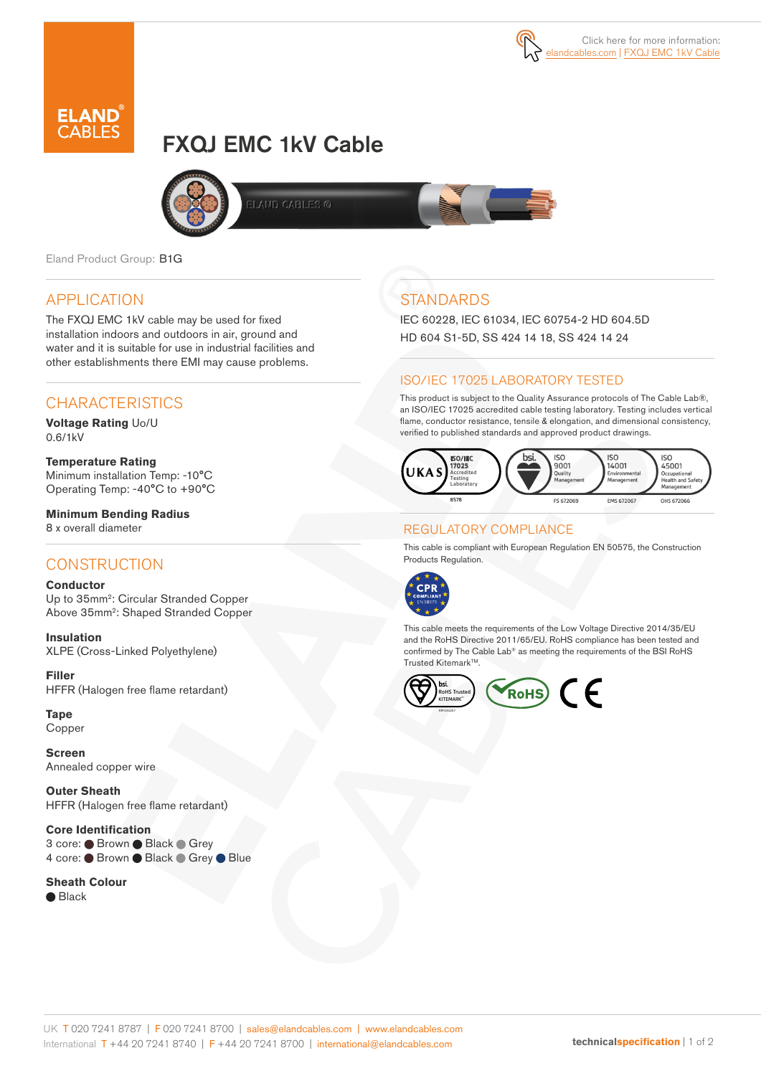

# FXQJ EMC 1kV Cable





Eland Product Group: B1G

## APPLICATION

The FXQJ EMC 1kV cable may be used for fixed installation indoors and outdoors in air, ground and water and it is suitable for use in industrial facilities and other establishments there EMI may cause problems.

## CHARACTERISTICS

**Voltage Rating** Uo/U 0.6/1kV

**Temperature Rating** Minimum installation Temp: -10°C Operating Temp: -40°C to +90°C

**Minimum Bending Radius**  8 x overall diameter

## **CONSTRUCTION**

#### **Conductor**

Up to 35mm2: Circular Stranded Copper Above 35mm2: Shaped Stranded Copper

**Insulation** XLPE (Cross-Linked Polyethylene)

**Filler** HFFR (Halogen free flame retardant)

**Tape**  Copper

**Screen** Annealed copper wire

**Outer Sheath** HFFR (Halogen free flame retardant)

#### **Core Identification**

3 core: ● Brown ● Black ● Grey 4 core: Brown Black Grey Blue

**Sheath Colour** ● Black

## **STANDARDS**

IEC 60228, IEC 61034, IEC 60754-2 HD 604.5D HD 604 S1-5D, SS 424 14 18, SS 424 14 24

### ISO/IEC 17025 LABORATORY TESTED

This product is subject to the Quality Assurance protocols of The Cable Lab®, an ISO/IEC 17025 accredited cable testing laboratory. Testing includes vertical flame, conductor resistance, tensile & elongation, and dimensional consistency, verified to published standards and approved product drawings.



#### REGULATORY COMPLIANCE

This cable is compliant with European Regulation EN 50575, the Construction Products Regulation.



This cable meets the requirements of the Low Voltage Directive 2014/35/EU and the RoHS Directive 2011/65/EU. RoHS compliance has been tested and confirmed by The Cable Lab® as meeting the requirements of the BSI RoHS Trusted Kitemark™.